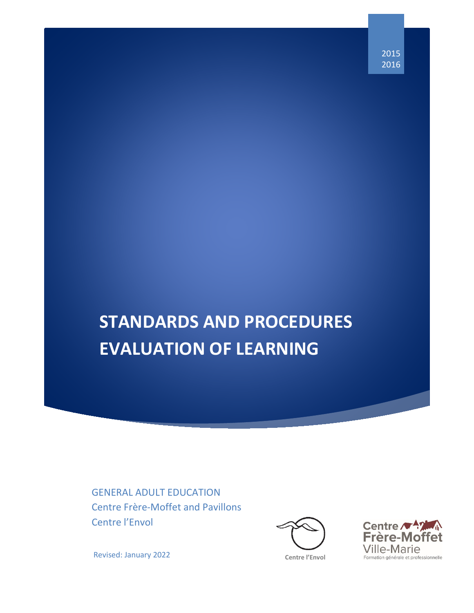2015 2016

# **STANDARDS AND PROCEDURES EVALUATION OF LEARNING**

GENERAL ADULT EDUCATION Centre Frère-Moffet and Pavillons Centre l'Envol





Revised: January 2022 **Centre l'Envolution Centre l'Envolution de la Centre l'Envolution de la Guardian de la Guardian de la Guardian de la Guardian de la Guardian de la Guardian de la Guardian de la Guardian de la Guardia**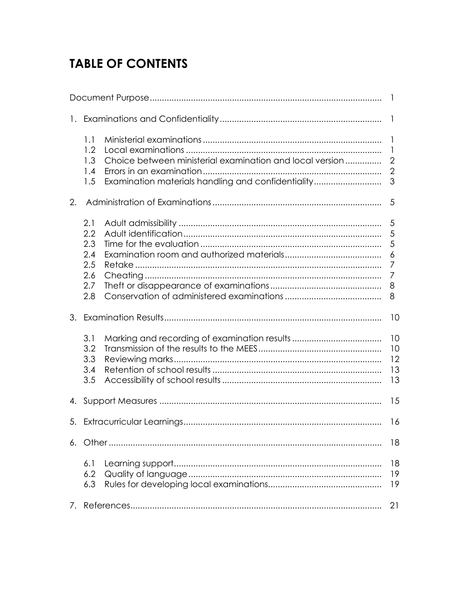# **TABLE OF CONTENTS**

|    | $\overline{\phantom{a}}$                             |                                                                                                                |                                                              |
|----|------------------------------------------------------|----------------------------------------------------------------------------------------------------------------|--------------------------------------------------------------|
|    | 1.1<br>1.2<br>1.3<br>1.4<br>1.5                      | Choice between ministerial examination and local version<br>Examination materials handling and confidentiality | $\overline{1}$<br>1<br>$\overline{2}$<br>$\overline{2}$<br>3 |
| 2. |                                                      |                                                                                                                | 5                                                            |
|    | 2.1<br>2.2<br>2.3<br>2.4<br>2.5<br>2.6<br>2.7<br>2.8 |                                                                                                                | 5<br>5<br>5<br>6<br>$\overline{7}$<br>7<br>8<br>8            |
| 3. |                                                      |                                                                                                                | 10                                                           |
|    | 3.1<br>3.2<br>3.3<br>3.4<br>3.5                      |                                                                                                                | 10<br>10<br>12<br>13<br>13                                   |
| 4. |                                                      |                                                                                                                | 15                                                           |
| 5. |                                                      |                                                                                                                | 16                                                           |
|    |                                                      |                                                                                                                | 18                                                           |
|    | 6.1<br>6.2<br>6.3                                    |                                                                                                                | 18<br>19<br>19                                               |
|    |                                                      |                                                                                                                | 21                                                           |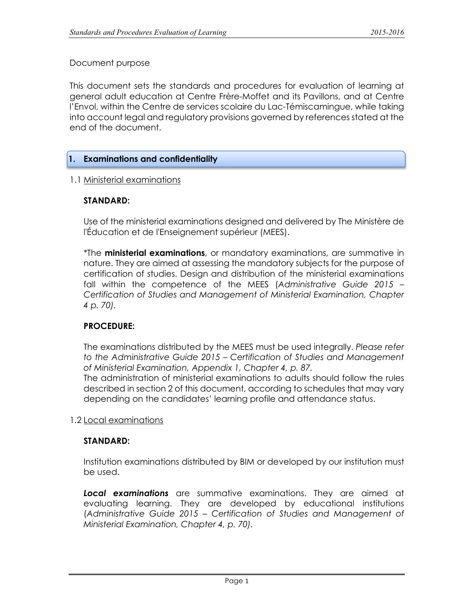Document purpose

This document sets the standards and procedures for evaluation of learning at general adult education at Centre Frère-Moffet and its Pavillons, and at Centre l'Envol, within the Centre de services scolaire du Lac-Témiscamingue, while taking into account legal and regulatory provisions governed by references stated at the end of the document.

# **1. Examinations and confidentiality**

#### 1.1 Ministerial examinations

# **STANDARD:**

Use of the ministerial examinations designed and delivered by The Ministère de l'Éducation et de l'Enseignement supérieur (MEES).

*\**The **ministerial examinations**, or mandatory examinations, are summative in nature. They are aimed at assessing the mandatory subjects for the purpose of certification of studies. Design and distribution of the ministerial examinations fall within the competence of the MEES (*[Administrative Guide 2015 –](http://www.education.gouv.qc.ca/fileadmin/site_web/documents/dpse/sanction/Guide-sanction-2015_ang.pdf)  Certification [of Studies and Management of Ministerial Examination,](http://www.education.gouv.qc.ca/fileadmin/site_web/documents/dpse/sanction/Guide-sanction-2015_ang.pdf) Chapter 4 p. 70).*

# **PROCEDURE:**

The examinations distributed by the MEES must be used integrally. *Please refer to the [Administrative Guide 2015 – Certification of Studies and Management](http://www.education.gouv.qc.ca/fileadmin/site_web/documents/dpse/sanction/Guide-sanction-2015_ang.pdf)  [of Ministerial Examination,](http://www.education.gouv.qc.ca/fileadmin/site_web/documents/dpse/sanction/Guide-sanction-2015_ang.pdf) Appendix 1, Chapter 4, p. 87.* 

The administration of ministerial examinations to adults should follow the rules described in section 2 of this document, according to schedules that may vary depending on the candidates' learning profile and attendance status.

# 1.2 Local examinations

# **STANDARD:**

Institution examinations distributed by BIM or developed by our institution must be used.

*Local examinations* are summative examinations. They are aimed at evaluating learning. They are developed by educational institutions (*[Administrative Guide 2015 – Certification of Studies and Management of](http://www.education.gouv.qc.ca/fileadmin/site_web/documents/dpse/sanction/Guide-sanction-2015_ang.pdf)  [Ministerial Examination,](http://www.education.gouv.qc.ca/fileadmin/site_web/documents/dpse/sanction/Guide-sanction-2015_ang.pdf) Chapter 4, p. 70).*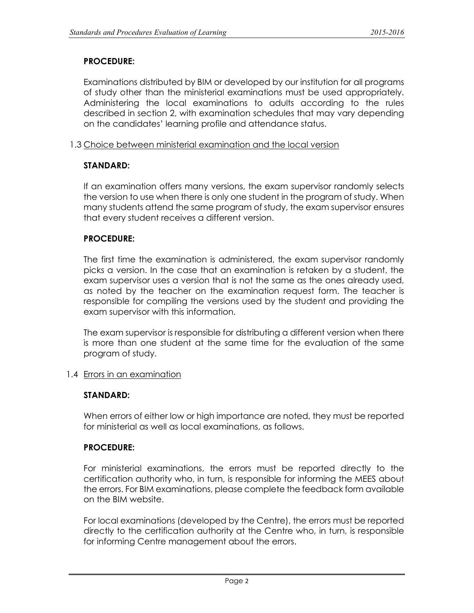Examinations distributed by BIM or developed by our institution for all programs of study other than the ministerial examinations must be used appropriately. Administering the local examinations to adults according to the rules described in section 2, with examination schedules that may vary depending on the candidates' learning profile and attendance status.

# 1.3 Choice between ministerial examination and the local version

# **STANDARD:**

If an examination offers many versions, the exam supervisor randomly selects the version to use when there is only one student in the program of study. When many students attend the same program of study, the exam supervisor ensures that every student receives a different version.

# **PROCEDURE:**

The first time the examination is administered, the exam supervisor randomly picks a version. In the case that an examination is retaken by a student, the exam supervisor uses a version that is not the same as the ones already used, as noted by the teacher on the examination request form. The teacher is responsible for compiling the versions used by the student and providing the exam supervisor with this information.

The exam supervisor is responsible for distributing a different version when there is more than one student at the same time for the evaluation of the same program of study.

# 1.4 Errors in an examination

# **STANDARD:**

When errors of either low or high importance are noted, they must be reported for ministerial as well as local examinations, as follows.

# **PROCEDURE:**

For ministerial examinations, the errors must be reported directly to the certification authority who, in turn, is responsible for informing the MEES about the errors. For BIM examinations, please complete the feedback form available on the BIM website.

For local examinations (developed by the Centre), the errors must be reported directly to the certification authority at the Centre who, in turn, is responsible for informing Centre management about the errors.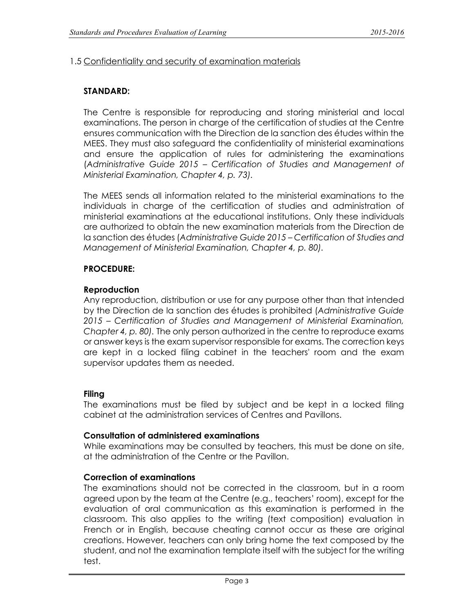# 1.5 Confidentiality and security of examination materials

# **STANDARD:**

The Centre is responsible for reproducing and storing ministerial and local examinations. The person in charge of the certification of studies at the Centre ensures communication with the Direction de la sanction des études within the MEES. They must also safeguard the confidentiality of ministerial examinations and ensure the application of rules for administering the examinations (*[Administrative Guide 2015 – Certification of Studies and Management of](http://www.education.gouv.qc.ca/fileadmin/site_web/documents/dpse/sanction/Guide-sanction-2015_ang.pdf)  [Ministerial Examination,](http://www.education.gouv.qc.ca/fileadmin/site_web/documents/dpse/sanction/Guide-sanction-2015_ang.pdf) Chapter 4, p. 73).*

The MEES sends all information related to the ministerial examinations to the individuals in charge of the certification of studies and administration of ministerial examinations at the educational institutions. Only these individuals are authorized to obtain the new examination materials from the Direction de la sanction des études (*[Administrative Guide 2015 – Certification of Studies and](http://www.education.gouv.qc.ca/fileadmin/site_web/documents/dpse/sanction/Guide-sanction-2015_ang.pdf)  [Management of Ministerial Examination,](http://www.education.gouv.qc.ca/fileadmin/site_web/documents/dpse/sanction/Guide-sanction-2015_ang.pdf) Chapter 4, p. 80).*

#### **PROCEDURE:**

#### **Reproduction**

Any reproduction, distribution or use for any purpose other than that intended by the Direction de la sanction des études is prohibited (*[Administrative Guide](http://www.education.gouv.qc.ca/fileadmin/site_web/documents/dpse/sanction/Guide-sanction-2015_ang.pdf)  [2015 – Certification of Studies and Management of Ministerial Examination,](http://www.education.gouv.qc.ca/fileadmin/site_web/documents/dpse/sanction/Guide-sanction-2015_ang.pdf) Chapter 4, p. 80).* The only person authorized in the centre to reproduce exams or answer keys is the exam supervisor responsible for exams. The correction keys are kept in a locked filing cabinet in the teachers' room and the exam supervisor updates them as needed.

#### **Filing**

The examinations must be filed by subject and be kept in a locked filing cabinet at the administration services of Centres and Pavillons.

#### **Consultation of administered examinations**

While examinations may be consulted by teachers, this must be done on site, at the administration of the Centre or the Pavillon.

# **Correction of examinations**

The examinations should not be corrected in the classroom, but in a room agreed upon by the team at the Centre (e.g., teachers' room), except for the evaluation of oral communication as this examination is performed in the classroom. This also applies to the writing (text composition) evaluation in French or in English, because cheating cannot occur as these are original creations. However, teachers can only bring home the text composed by the student, and not the examination template itself with the subject for the writing test.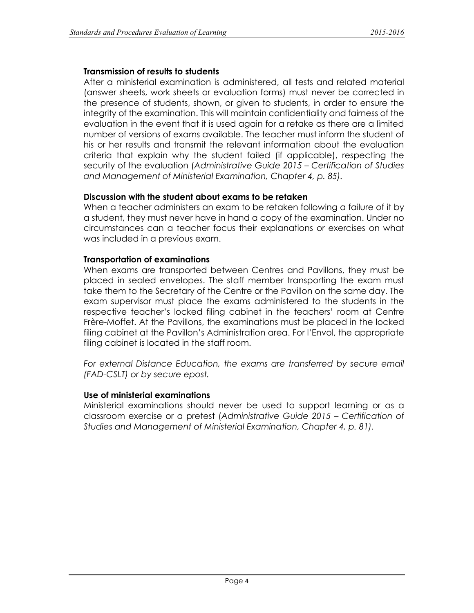# **Transmission of results to students**

After a ministerial examination is administered, all tests and related material (answer sheets, work sheets or evaluation forms) must never be corrected in the presence of students, shown, or given to students, in order to ensure the integrity of the examination. This will maintain confidentiality and fairness of the evaluation in the event that it is used again for a retake as there are a limited number of versions of exams available. The teacher must inform the student of his or her results and transmit the relevant information about the evaluation criteria that explain why the student failed (if applicable), respecting the security of the evaluation (*[Administrative Guide 2015 –](http://www.education.gouv.qc.ca/fileadmin/site_web/documents/dpse/sanction/Guide-sanction-2015_ang.pdf) Certification of Studies [and Management of Ministerial Examination,](http://www.education.gouv.qc.ca/fileadmin/site_web/documents/dpse/sanction/Guide-sanction-2015_ang.pdf) Chapter 4, p. 85).*

# **Discussion with the student about exams to be retaken**

When a teacher administers an exam to be retaken following a failure of it by a student, they must never have in hand a copy of the examination. Under no circumstances can a teacher focus their explanations or exercises on what was included in a previous exam.

# **Transportation of examinations**

When exams are transported between Centres and Pavillons, they must be placed in sealed envelopes. The staff member transporting the exam must take them to the Secretary of the Centre or the Pavillon on the same day. The exam supervisor must place the exams administered to the students in the respective teacher's locked filing cabinet in the teachers' room at Centre Frère-Moffet. At the Pavillons, the examinations must be placed in the locked filing cabinet at the Pavillon's Administration area. For l'Envol, the appropriate filing cabinet is located in the staff room.

*For external Distance Education, the exams are transferred by secure email (FAD-CSLT) or by secure epost.*

# **Use of ministerial examinations**

Ministerial examinations should never be used to support learning or as a classroom exercise or a pretest (*[Administrative Guide 2015 –](http://www.education.gouv.qc.ca/fileadmin/site_web/documents/dpse/sanction/Guide-sanction-2015_ang.pdf) Certification of [Studies and Management of Ministerial Examination,](http://www.education.gouv.qc.ca/fileadmin/site_web/documents/dpse/sanction/Guide-sanction-2015_ang.pdf) Chapter 4, p. 81).*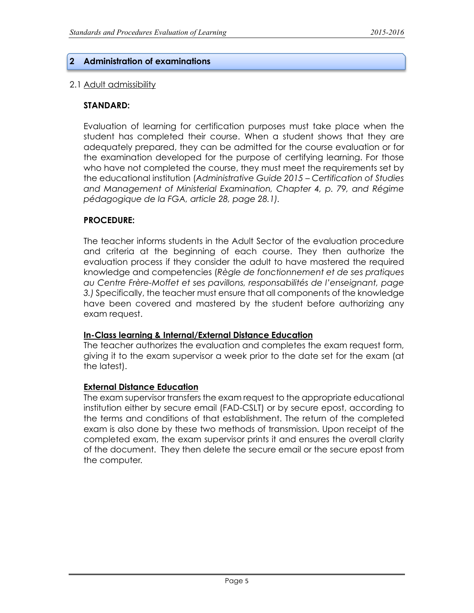# **2 Administration of examinations**

# 2.1 Adult admissibility

# **STANDARD:**

Evaluation of learning for certification purposes must take place when the student has completed their course. When a student shows that they are adequately prepared, they can be admitted for the course evaluation or for the examination developed for the purpose of certifying learning. For those who have not completed the course, they must meet the requirements set by the educational institution (*[Administrative Guide 2015 – Certification of Studies](http://www.education.gouv.qc.ca/fileadmin/site_web/documents/dpse/sanction/Guide-sanction-2015_ang.pdf)  [and Management of Ministerial Examination,](http://www.education.gouv.qc.ca/fileadmin/site_web/documents/dpse/sanction/Guide-sanction-2015_ang.pdf) Chapter 4, p. 79, and Régime pédagogique de la FGA, article 28, page 28.1).*

#### **PROCEDURE:**

The teacher informs students in the Adult Sector of the evaluation procedure and criteria at the beginning of each course. They then authorize the evaluation process if they consider the adult to have mastered the required knowledge and competencies (*Règle de fonctionnement et de ses pratiques au Centre Frère-Moffet et ses pavillons, responsabilités de l'enseignant, page 3.)* Specifically, the teacher must ensure that all components of the knowledge have been covered and mastered by the student before authorizing any exam request.

#### **In-Class learning & Internal/External Distance Education**

The teacher authorizes the evaluation and completes the exam request form, giving it to the exam supervisor a week prior to the date set for the exam (at the latest).

# **External Distance Education**

The exam supervisor transfers the exam request to the appropriate educational institution either by secure email (FAD-CSLT) or by secure epost, according to the terms and conditions of that establishment. The return of the completed exam is also done by these two methods of transmission. Upon receipt of the completed exam, the exam supervisor prints it and ensures the overall clarity of the document. They then delete the secure email or the secure epost from the computer*.*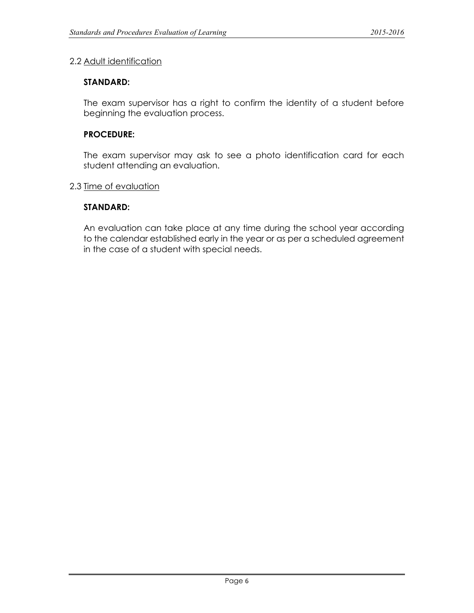# 2.2 Adult identification

# **STANDARD:**

The exam supervisor has a right to confirm the identity of a student before beginning the evaluation process.

#### **PROCEDURE:**

The exam supervisor may ask to see a photo identification card for each student attending an evaluation.

#### 2.3 Time of evaluation

#### **STANDARD:**

An evaluation can take place at any time during the school year according to the calendar established early in the year or as per a scheduled agreement in the case of a student with special needs.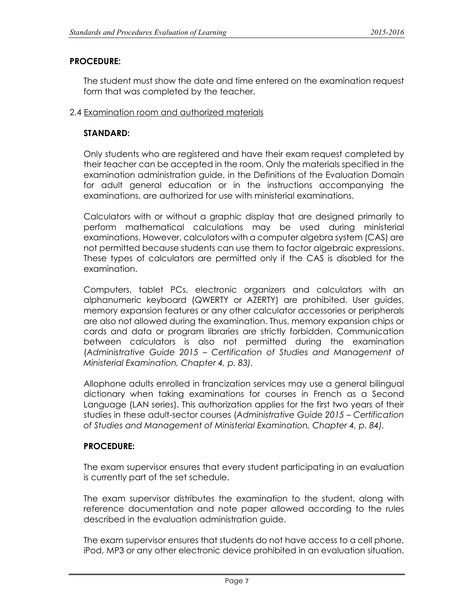The student must show the date and time entered on the examination request form that was completed by the teacher.

# 2.4 Examination room and authorized materials

# **STANDARD:**

Only students who are registered and have their exam request completed by their teacher can be accepted in the room. Only the materials specified in the examination administration guide, in the Definitions of the Evaluation Domain for adult general education or in the instructions accompanying the examinations, are authorized for use with ministerial examinations.

Calculators with or without a graphic display that are designed primarily to perform mathematical calculations may be used during ministerial examinations. However, calculators with a computer algebra system (CAS) are not permitted because students can use them to factor algebraic expressions. These types of calculators are permitted only if the CAS is disabled for the examination.

Computers, tablet PCs, electronic organizers and calculators with an alphanumeric keyboard (QWERTY or AZERTY) are prohibited. User guides, memory expansion features or any other calculator accessories or peripherals are also not allowed during the examination. Thus, memory expansion chips or cards and data or program libraries are strictly forbidden. Communication between calculators is also not permitted during the examination (*[Administrative Guide 2015 – Certification of Studies and Management of](http://www.education.gouv.qc.ca/fileadmin/site_web/documents/dpse/sanction/Guide-sanction-2015_ang.pdf)  [Ministerial Examination,](http://www.education.gouv.qc.ca/fileadmin/site_web/documents/dpse/sanction/Guide-sanction-2015_ang.pdf) Chapter 4, p. 83).*

Allophone adults enrolled in francization services may use a general bilingual dictionary when taking examinations for courses in French as a Second Language (LAN series). This authorization applies for the first two years of their studies in these adult-sector courses (*[Administrative Guide 2015 – Certification](http://www.education.gouv.qc.ca/fileadmin/site_web/documents/dpse/sanction/Guide-sanction-2015_ang.pdf)  [of Studies and Management of Ministerial Examination,](http://www.education.gouv.qc.ca/fileadmin/site_web/documents/dpse/sanction/Guide-sanction-2015_ang.pdf) Chapter 4, p. 84).*

# **PROCEDURE:**

The exam supervisor ensures that every student participating in an evaluation is currently part of the set schedule.

The exam supervisor distributes the examination to the student, along with reference documentation and note paper allowed according to the rules described in the evaluation administration guide.

The exam supervisor ensures that students do not have access to a cell phone, iPod, MP3 or any other electronic device prohibited in an evaluation situation.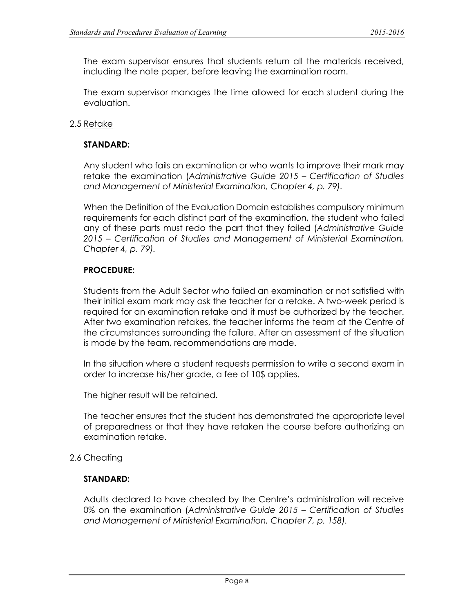The exam supervisor ensures that students return all the materials received, including the note paper, before leaving the examination room.

The exam supervisor manages the time allowed for each student during the evaluation.

# 2.5 Retake

# **STANDARD:**

Any student who fails an examination or who wants to improve their mark may retake the examination (*[Administrative Guide 2015 – Certification of Studies](http://www.education.gouv.qc.ca/fileadmin/site_web/documents/dpse/sanction/Guide-sanction-2015_ang.pdf)  [and Management of Ministerial Examination,](http://www.education.gouv.qc.ca/fileadmin/site_web/documents/dpse/sanction/Guide-sanction-2015_ang.pdf) Chapter 4, p. 79).*

When the Definition of the Evaluation Domain establishes compulsory minimum requirements for each distinct part of the examination, the student who failed any of these parts must redo the part that they failed (*[Administrative Guide](http://www.education.gouv.qc.ca/fileadmin/site_web/documents/dpse/sanction/Guide-sanction-2015_ang.pdf)  [2015 – Certification of Studies and Management of Ministerial Examination,](http://www.education.gouv.qc.ca/fileadmin/site_web/documents/dpse/sanction/Guide-sanction-2015_ang.pdf) Chapter 4, p. 79).*

# **PROCEDURE:**

Students from the Adult Sector who failed an examination or not satisfied with their initial exam mark may ask the teacher for a retake. A two-week period is required for an examination retake and it must be authorized by the teacher. After two examination retakes, the teacher informs the team at the Centre of the circumstances surrounding the failure. After an assessment of the situation is made by the team, recommendations are made.

In the situation where a student requests permission to write a second exam in order to increase his/her grade, a fee of 10\$ applies.

The higher result will be retained.

The teacher ensures that the student has demonstrated the appropriate level of preparedness or that they have retaken the course before authorizing an examination retake.

# 2.6 Cheating

# **STANDARD:**

Adults declared to have cheated by the Centre's administration will receive 0% on the examination (*[Administrative Guide 2015 – Certification of Studies](http://www.education.gouv.qc.ca/fileadmin/site_web/documents/dpse/sanction/Guide-sanction-2015_ang.pdf)  [and Management of Ministerial Examination,](http://www.education.gouv.qc.ca/fileadmin/site_web/documents/dpse/sanction/Guide-sanction-2015_ang.pdf) Chapter 7, p. 158).*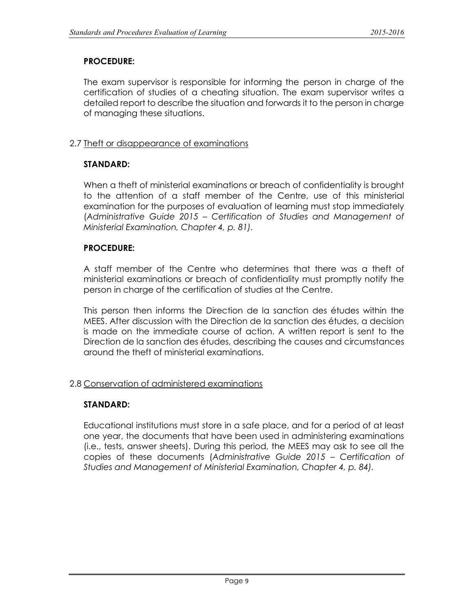The exam supervisor is responsible for informing the person in charge of the certification of studies of a cheating situation. The exam supervisor writes a detailed report to describe the situation and forwards it to the person in charge of managing these situations.

# 2.7 Theft or disappearance of examinations

# **STANDARD:**

When a theft of ministerial examinations or breach of confidentiality is brought to the attention of a staff member of the Centre, use of this ministerial examination for the purposes of evaluation of learning must stop immediately (*[Administrative Guide 2015 – Certification of Studies and Management of](http://www.education.gouv.qc.ca/fileadmin/site_web/documents/dpse/sanction/Guide-sanction-2015_ang.pdf)  [Ministerial Examination,](http://www.education.gouv.qc.ca/fileadmin/site_web/documents/dpse/sanction/Guide-sanction-2015_ang.pdf) Chapter 4, p. 81).*

# **PROCEDURE:**

A staff member of the Centre who determines that there was a theft of ministerial examinations or breach of confidentiality must promptly notify the person in charge of the certification of studies at the Centre.

This person then informs the Direction de la sanction des études within the MEES. After discussion with the Direction de la sanction des études, a decision is made on the immediate course of action. A written report is sent to the Direction de la sanction des études, describing the causes and circumstances around the theft of ministerial examinations.

# 2.8 Conservation of administered examinations

# **STANDARD:**

Educational institutions must store in a safe place, and for a period of at least one year, the documents that have been used in administering examinations (i.e., tests, answer sheets). During this period, the MEES may ask to see all the copies of these documents (*[Administrative Guide 2015 – Certification of](http://www.education.gouv.qc.ca/fileadmin/site_web/documents/dpse/sanction/Guide-sanction-2015_ang.pdf)  [Studies and Management of Ministerial Examination,](http://www.education.gouv.qc.ca/fileadmin/site_web/documents/dpse/sanction/Guide-sanction-2015_ang.pdf) Chapter 4, p. 84).*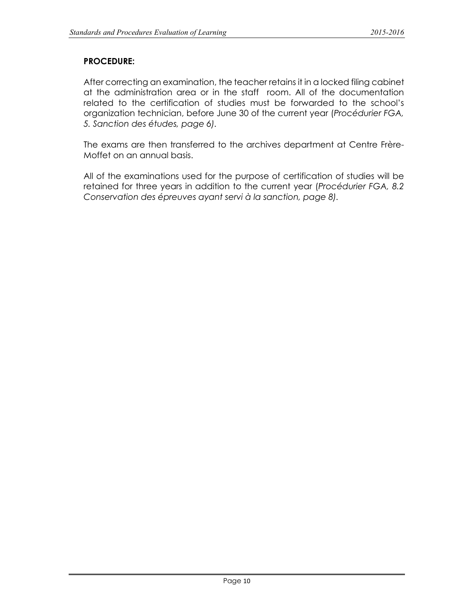After correcting an examination, the teacher retains it in a locked filing cabinet at the administration area or in the staff room. All of the documentation related to the certification of studies must be forwarded to the school's organization technician, before June 30 of the current year (*Procédurier FGA, 5. Sanction des études, page 6).*

The exams are then transferred to the archives department at Centre Frère-Moffet on an annual basis.

All of the examinations used for the purpose of certification of studies will be retained for three years in addition to the current year (*Procédurier FGA, 8.2 Conservation des épreuves ayant servi à la sanction, page 8).*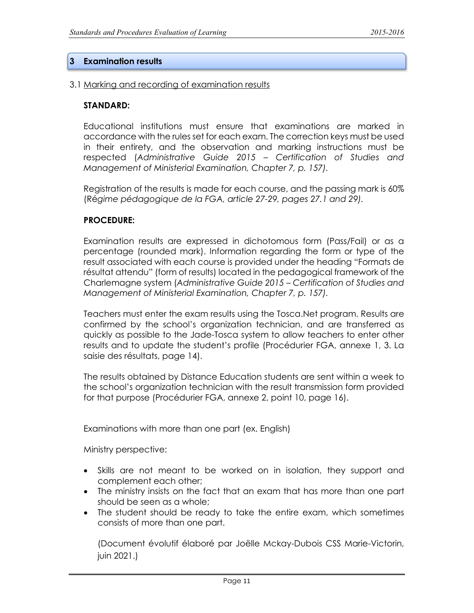#### **3 Examination results**

#### 3.1 Marking and recording of examination results

#### **STANDARD:**

Educational institutions must ensure that examinations are marked in accordance with the rules set for each exam. The correction keys must be used in their entirety, and the observation and marking instructions must be respected (*[Administrative Guide 2015 – Certification of Studies and](http://www.education.gouv.qc.ca/fileadmin/site_web/documents/dpse/sanction/Guide-sanction-2015_ang.pdf)  [Management of Ministerial Examination,](http://www.education.gouv.qc.ca/fileadmin/site_web/documents/dpse/sanction/Guide-sanction-2015_ang.pdf) Chapter 7, p. 157).*

Registration of the results is made for each course, and the passing mark is 60% (Ré*gime pédagogique de la FGA, article 27-29, pages 27.1 and 29).* 

#### **PROCEDURE:**

Examination results are expressed in dichotomous form (Pass/Fail) or as a percentage (rounded mark). Information regarding the form or type of the result associated with each course is provided under the heading "Formats de résultat attendu" (form of results) located in the pedagogical framework of the Charlemagne system (*[Administrative Guide 2015 – Certification of Studies and](http://www.education.gouv.qc.ca/fileadmin/site_web/documents/dpse/sanction/Guide-sanction-2015_ang.pdf)  [Management of Ministerial Examination,](http://www.education.gouv.qc.ca/fileadmin/site_web/documents/dpse/sanction/Guide-sanction-2015_ang.pdf) Chapter 7, p. 157).*

Teachers must enter the exam results using the Tosca.Net program. Results are confirmed by the school's organization technician, and are transferred as quickly as possible to the Jade-Tosca system to allow teachers to enter other results and to update the student's profile (Procédurier FGA, annexe 1, 3. La saisie des résultats, page 14).

The results obtained by Distance Education students are sent within a week to the school's organization technician with the result transmission form provided for that purpose (Procédurier FGA, annexe 2, point 10, page 16).

Examinations with more than one part (ex. English)

Ministry perspective:

- Skills are not meant to be worked on in isolation, they support and complement each other;
- The ministry insists on the fact that an exam that has more than one part should be seen as a whole;
- The student should be ready to take the entire exam, which sometimes consists of more than one part.

(Document évolutif élaboré par Joëlle Mckay-Dubois CSS Marie-Victorin, juin 2021.)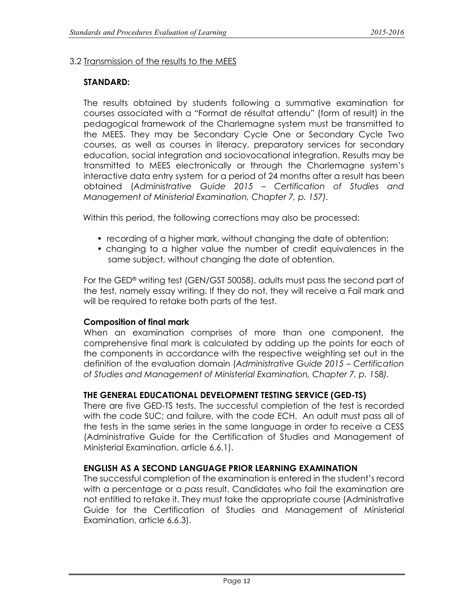# 3.2 Transmission of the results to the MEES

# **STANDARD:**

The results obtained by students following a summative examination for courses associated with a "Format de résultat attendu" (form of result) in the pedagogical framework of the Charlemagne system must be transmitted to the MEES. They may be Secondary Cycle One or Secondary Cycle Two courses, as well as courses in literacy, preparatory services for secondary education, social integration and sociovocational integration. Results may be transmitted to MEES electronically or through the Charlemagne system's interactive data entry system for a period of 24 months after a result has been obtained (*[Administrative Guide 2015 – Certification of Studies and](http://www.education.gouv.qc.ca/fileadmin/site_web/documents/dpse/sanction/Guide-sanction-2015_ang.pdf)  [Management of Ministerial Examination,](http://www.education.gouv.qc.ca/fileadmin/site_web/documents/dpse/sanction/Guide-sanction-2015_ang.pdf) Chapter 7, p. 157).*

Within this period, the following corrections may also be processed:

- recording of a higher mark, without changing the date of obtention;
- changing to a higher value the number of credit equivalences in the same subject, without changing the date of obtention.

For the GED® writing test (GEN/GST 50058), adults must pass the second part of the test, namely essay writing. If they do not, they will receive a Fail mark and will be required to retake both parts of the test.

#### **Composition of final mark**

When an examination comprises of more than one component, the comprehensive final mark is calculated by adding up the points for each of the components in accordance with the respective weighting set out in the definition of the evaluation domain (*[Administrative Guide 2015 – Certification](http://www.education.gouv.qc.ca/fileadmin/site_web/documents/dpse/sanction/Guide-sanction-2015_ang.pdf)  [of Studies and Management of Ministerial Examination,](http://www.education.gouv.qc.ca/fileadmin/site_web/documents/dpse/sanction/Guide-sanction-2015_ang.pdf) Chapter 7, p. 1*58*).*

# **THE GENERAL EDUCATIONAL DEVELOPMENT TESTING SERVICE (GED-TS)**

There are five GED-TS tests. The successful completion of the test is recorded with the code SUC; and failure, with the code ECH. An adult must pass all of the tests in the same series in the same language in order to receive a CESS [\(Administrative Guide for the Certification of Studies and Management of](http://www.education.gouv.qc.ca/fileadmin/site_web/documents/dpse/sanction/Guide-sanction-2015_ang.pdf)  [Ministerial Examination,](http://www.education.gouv.qc.ca/fileadmin/site_web/documents/dpse/sanction/Guide-sanction-2015_ang.pdf) article 6.6.1).

# **ENGLISH AS A SECOND LANGUAGE PRIOR LEARNING EXAMINATION**

The successful completion of the examination is entered in the student's record with a percentage or a *pass* result. Candidates who fail the examination are not entitled to retake it. They must take the appropriate course [\(Administrative](http://www.education.gouv.qc.ca/fileadmin/site_web/documents/dpse/sanction/Guide-sanction-2015_ang.pdf)  [Guide for the Certification of Studies and Management of Ministerial](http://www.education.gouv.qc.ca/fileadmin/site_web/documents/dpse/sanction/Guide-sanction-2015_ang.pdf)  [Examination,](http://www.education.gouv.qc.ca/fileadmin/site_web/documents/dpse/sanction/Guide-sanction-2015_ang.pdf) article 6.6.3).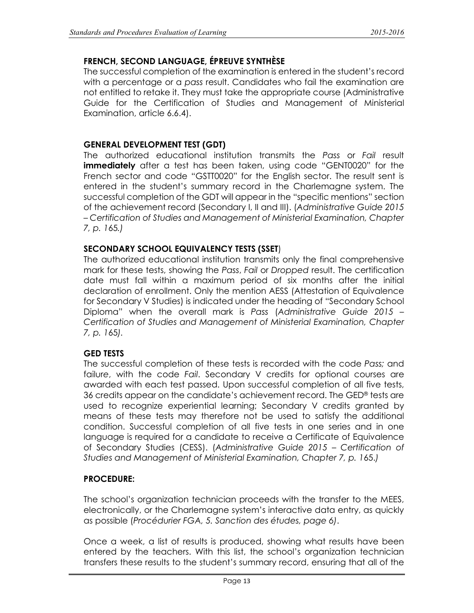# **FRENCH, SECOND LANGUAGE, ÉPREUVE SYNTHÈSE**

The successful completion of the examination is entered in the student's record with a percentage or a *pass* result. Candidates who fail the examination are not entitled to retake it. They must take the appropriate course [\(Administrative](http://www.education.gouv.qc.ca/fileadmin/site_web/documents/dpse/sanction/Guide-sanction-2015_ang.pdf)  [Guide for the Certification of Studies and Management of Ministerial](http://www.education.gouv.qc.ca/fileadmin/site_web/documents/dpse/sanction/Guide-sanction-2015_ang.pdf)  [Examination,](http://www.education.gouv.qc.ca/fileadmin/site_web/documents/dpse/sanction/Guide-sanction-2015_ang.pdf) article 6.6.4).

# **GENERAL DEVELOPMENT TEST (GDT)**

The authorized educational institution transmits the *Pass* or *Fail* result **immediately** after a test has been taken, using code "GENT0020" for the French sector and code "GSTT0020" for the English sector. The result sent is entered in the student's summary record in the Charlemagne system. The successful completion of the GDT will appear in the "specific mentions" section of the achievement record (Secondary I, II and III). (*[Administrative Guide 2015](http://www.education.gouv.qc.ca/fileadmin/site_web/documents/dpse/sanction/Guide-sanction-2015_ang.pdf)  – [Certification of Studies and Management of Ministerial Examination,](http://www.education.gouv.qc.ca/fileadmin/site_web/documents/dpse/sanction/Guide-sanction-2015_ang.pdf) Chapter 7, p. 1*65*.)*

# **SECONDARY SCHOOL EQUIVALENCY TESTS (SSET**)

The authorized educational institution transmits only the final comprehensive mark for these tests, showing the *Pass*, *Fail* or *Dropped* result. The certification date must fall within a maximum period of six months after the initial declaration of enrollment. Only the mention AESS (Attestation of Equivalence for Secondary V Studies) is indicated under the heading of "Secondary School Diploma" when the overall mark is *Pass* (*[Administrative Guide 2015 –](http://www.education.gouv.qc.ca/fileadmin/site_web/documents/dpse/sanction/Guide-sanction-2015_ang.pdf) [Certification of Studies and Management of Ministerial Examination,](http://www.education.gouv.qc.ca/fileadmin/site_web/documents/dpse/sanction/Guide-sanction-2015_ang.pdf) Chapter 7, p. 1*65*).*

# **GED TESTS**

The successful completion of these tests is recorded with the code *Pass;* and failur*e*, with the code *Fail*. Secondary V credits for optional courses are awarded with each test passed. Upon successful completion of all five tests, 36 credits appear on the candidate's achievement record. The GED® tests are used to recognize experiential learning; Secondary V credits granted by means of these tests may therefore not be used to satisfy the additional condition. Successful completion of all five tests in one series and in one language is required for a candidate to receive a Certificate of Equivalence of Secondary Studies (CESS). (*[Administrative Guide 2015 –](http://www.education.gouv.qc.ca/fileadmin/site_web/documents/dpse/sanction/Guide-sanction-2015_ang.pdf) Certification of [Studies and Management of Ministerial Examination,](http://www.education.gouv.qc.ca/fileadmin/site_web/documents/dpse/sanction/Guide-sanction-2015_ang.pdf) Chapter 7, p. 1*65.*)*

# **PROCEDURE:**

The school's organization technician proceeds with the transfer to the MEES, electronically, or the Charlemagne system's interactive data entry, as quickly as possible (*Procédurier FGA, 5. Sanction des études, page 6)*.

Once a week, a list of results is produced, showing what results have been entered by the teachers. With this list, the school's organization technician transfers these results to the student's summary record, ensuring that all of the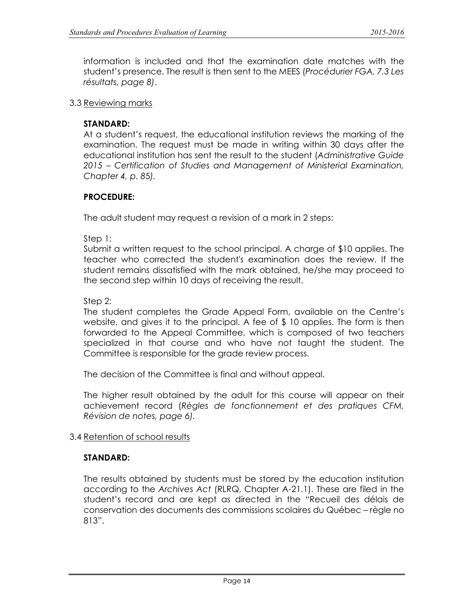information is included and that the examination date matches with the student's presence. The result is then sent to the MEES (*Procédurier FGA, 7.3 Les résultats, page 8)*.

#### 3.3 Reviewing marks

# **STANDARD:**

At a student's request, the educational institution reviews the marking of the examination. The request must be made in writing within 30 days after the educational institution has sent the result to the student (*[Administrative Guide](http://www.education.gouv.qc.ca/fileadmin/site_web/documents/dpse/sanction/Guide-sanction-2015_ang.pdf)  [2015 – Certification of Studies and Management of Ministerial Examination,](http://www.education.gouv.qc.ca/fileadmin/site_web/documents/dpse/sanction/Guide-sanction-2015_ang.pdf) Chapter 4, p. 8*5*).*

#### **PROCEDURE:**

The adult student may request a revision of a mark in 2 steps:

Step 1:

Submit a written request to the school principal. A charge of \$10 applies. The teacher who corrected the student's examination does the review. If the student remains dissatisfied with the mark obtained, he/she may proceed to the second step within 10 days of receiving the result.

Step 2:

The student completes the Grade Appeal Form, available on the Centre's website, and gives it to the principal. A fee of \$ 10 applies. The form is then forwarded to the Appeal Committee, which is composed of two teachers specialized in that course and who have not taught the student. The Committee is responsible for the grade review process.

The decision of the Committee is final and without appeal.

The higher result obtained by the adult for this course will appear on their achievement record (*Règles de fonctionnement et des pratiques CFM, Révision de notes, page 6).* 

#### 3.4 Retention of school results

# **STANDARD:**

The results obtained by students must be stored by the education institution according to the *Archives Act* (RLRQ, Chapter A-21.1). These are filed in the student's record and are kept as directed in the "Recueil des délais de conservation des documents des commissions scolaires du Québec – règle no 813".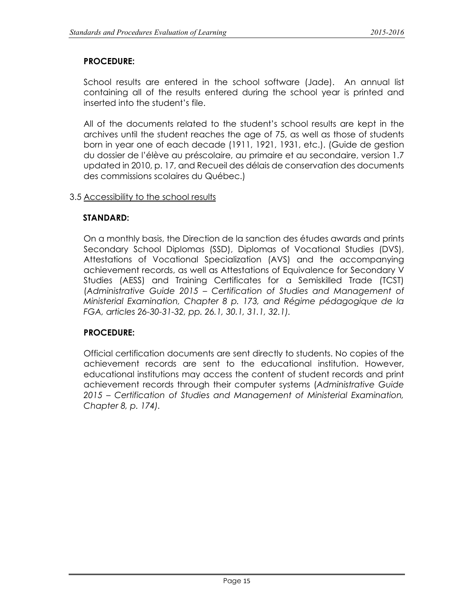School results are entered in the school software (Jade). An annual list containing all of the results entered during the school year is printed and inserted into the student's file.

All of the documents related to the student's school results are kept in the archives until the student reaches the age of 75, as well as those of students born in year one of each decade (1911, 1921, 1931, etc.). (Guide de gestion du dossier de l'élève au préscolaire, au primaire et au secondaire, version 1.7 updated in 2010, p. 17, and Recueil des délais de conservation des documents des commissions scolaires du Québec.)

#### 3.5 Accessibility to the school results

# **STANDARD:**

On a monthly basis, the Direction de la sanction des études awards and prints Secondary School Diplomas (SSD), Diplomas of Vocational Studies (DVS), Attestations of Vocational Specialization (AVS) and the accompanying achievement records, as well as Attestations of Equivalence for Secondary V Studies (AESS) and Training Certificates for a Semiskilled Trade (TCST) (*[Administrative Guide 2015 – Certification of Studies and Management of](http://www.education.gouv.qc.ca/fileadmin/site_web/documents/dpse/sanction/Guide-sanction-2015_ang.pdf)  [Ministerial Examination,](http://www.education.gouv.qc.ca/fileadmin/site_web/documents/dpse/sanction/Guide-sanction-2015_ang.pdf) Chapter 8 p. 173, and Régime pédagogique de la FGA, articles 26-30-31-32, pp. 26.1, 30.1, 31.1, 32.1).*

# **PROCEDURE:**

Official certification documents are sent directly to students. No copies of the achievement records are sent to the educational institution. However, educational institutions may access the content of student records and print achievement records through their computer systems (*[Administrative Guide](http://www.education.gouv.qc.ca/fileadmin/site_web/documents/dpse/sanction/Guide-sanction-2015_ang.pdf)  [2015 – Certification of Studies and Management of Ministerial Examination,](http://www.education.gouv.qc.ca/fileadmin/site_web/documents/dpse/sanction/Guide-sanction-2015_ang.pdf) Chapter 8, p. 174).*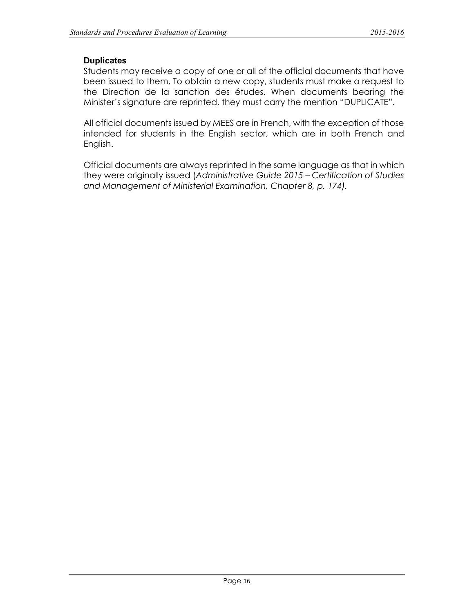# **Duplicates**

Students may receive a copy of one or all of the official documents that have been issued to them. To obtain a new copy, students must make a request to the Direction de la sanction des études. When documents bearing the Minister's signature are reprinted, they must carry the mention "DUPLICATE".

All official documents issued by MEES are in French, with the exception of those intended for students in the English sector, which are in both French and English.

Official documents are always reprinted in the same language as that in which they were originally issued (*[Administrative Guide 2015 –](http://www.education.gouv.qc.ca/fileadmin/site_web/documents/dpse/sanction/Guide-sanction-2015_ang.pdf) Certification of Studies [and Management of Ministerial Examination,](http://www.education.gouv.qc.ca/fileadmin/site_web/documents/dpse/sanction/Guide-sanction-2015_ang.pdf) Chapter 8, p. 174).*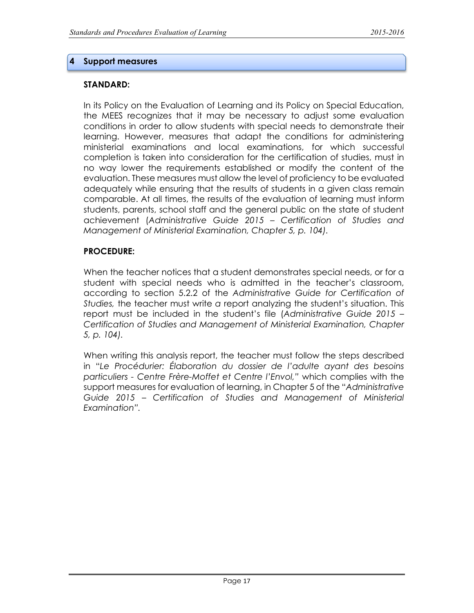# **4 Support measures**

#### **STANDARD:**

In its Policy on the Evaluation of Learning and its Policy on Special Education, the MEES recognizes that it may be necessary to adjust some evaluation conditions in order to allow students with special needs to demonstrate their learning. However, measures that adapt the conditions for administering ministerial examinations and local examinations, for which successful completion is taken into consideration for the certification of studies, must in no way lower the requirements established or modify the content of the evaluation. These measures must allow the level of proficiency to be evaluated adequately while ensuring that the results of students in a given class remain comparable. At all times, the results of the evaluation of learning must inform students, parents, school staff and the general public on the state of student achievement (*[Administrative Guide 2015 –](http://www.education.gouv.qc.ca/fileadmin/site_web/documents/dpse/sanction/Guide-sanction-2015_ang.pdf) Certification of Studies and [Management of Ministerial Examination,](http://www.education.gouv.qc.ca/fileadmin/site_web/documents/dpse/sanction/Guide-sanction-2015_ang.pdf) Chapter 5, p. 104).*

# **PROCEDURE:**

When the teacher notices that a student demonstrates special needs, or for a student with special needs who is admitted in the teacher's classroom, according to section 5.2.2 of the *Administrative Guide for Certification of Studies,* the teacher must write *a* report analyzing the student's situation. This report must be included in the student's file (*[Administrative Guide 2015 –](http://www.education.gouv.qc.ca/fileadmin/site_web/documents/dpse/sanction/Guide-sanction-2015_ang.pdf) [Certification of Studies and Management of Ministerial Examination,](http://www.education.gouv.qc.ca/fileadmin/site_web/documents/dpse/sanction/Guide-sanction-2015_ang.pdf) Chapter 5, p. 104).*

When writing this analysis report, the teacher must follow the steps described in "*Le Procédurier: Élaboration du dossier de l'adulte ayant des besoins particuliers - Centre Frère-Moffet et Centre l'Envol,"* which complies with the support measures for evaluation of learning, in Chapter 5 of the "*[Administrative](http://www.education.gouv.qc.ca/fileadmin/site_web/documents/dpse/sanction/Guide-sanction-2015_ang.pdf)  Guide 2015 – [Certification of Studies and Management of Ministerial](http://www.education.gouv.qc.ca/fileadmin/site_web/documents/dpse/sanction/Guide-sanction-2015_ang.pdf)  [Examination"](http://www.education.gouv.qc.ca/fileadmin/site_web/documents/dpse/sanction/Guide-sanction-2015_ang.pdf).*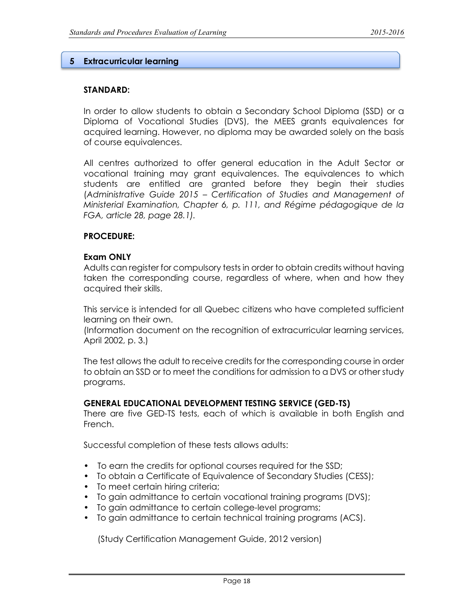#### **5 Extracurricular learning**

#### **STANDARD:**

In order to allow students to obtain a Secondary School Diploma (SSD) or a Diploma of Vocational Studies (DVS), the MEES grants equivalences for acquired learning. However, no diploma may be awarded solely on the basis of course equivalences.

All centres authorized to offer general education in the Adult Sector or vocational training may grant equivalences. The equivalences to which students are entitled are granted before they begin their studies (*Administrative Guide 2015 – [Certification of Studies and Management of](http://www.education.gouv.qc.ca/fileadmin/site_web/documents/dpse/sanction/Guide-sanction-2015_ang.pdf)  [Ministerial Examination,](http://www.education.gouv.qc.ca/fileadmin/site_web/documents/dpse/sanction/Guide-sanction-2015_ang.pdf) Chapter 6, p. 111, and Régime pédagogique de la FGA, article 28, page 28.1).*

#### **PROCEDURE:**

#### **Exam ONLY**

Adults can register for compulsory tests in order to obtain credits without having taken the corresponding course, regardless of where, when and how they acquired their skills.

This service is intended for all Quebec citizens who have completed sufficient learning on their own.

(Information document on the recognition of extracurricular learning services, April 2002, p. 3.)

The test allows the adult to receive credits for the corresponding course in order to obtain an SSD or to meet the conditions for admission to a DVS or other study programs.

#### **GENERAL EDUCATIONAL DEVELOPMENT TESTING SERVICE (GED-TS)**

There are five GED-TS tests, each of which is available in both English and French.

Successful completion of these tests allows adults:

- To earn the credits for optional courses required for the SSD;
- To obtain a Certificate of Equivalence of Secondary Studies (CESS);
- To meet certain hiring criteria;
- To gain admittance to certain vocational training programs (DVS);
- To gain admittance to certain college-level programs;
- To gain admittance to certain technical training programs (ACS).

(Study Certification Management Guide, 2012 version)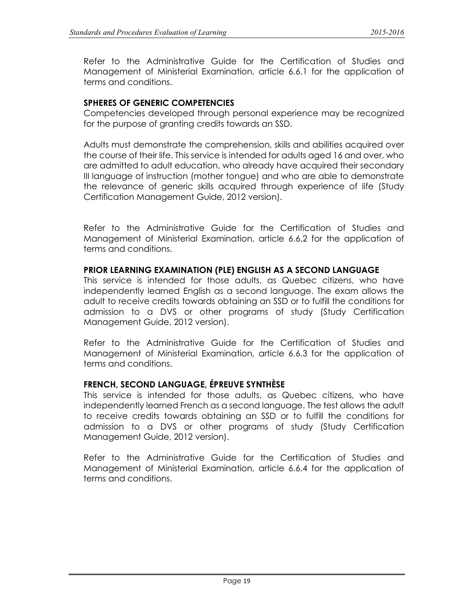Refer to the [Administrative Guide for the Certification of Studies and](http://www.education.gouv.qc.ca/fileadmin/site_web/documents/dpse/sanction/Guide-sanction-2015_ang.pdf)  [Management of Ministerial Examination,](http://www.education.gouv.qc.ca/fileadmin/site_web/documents/dpse/sanction/Guide-sanction-2015_ang.pdf) article 6.6.1 for the application of terms and conditions.

# **SPHERES OF GENERIC COMPETENCIES**

Competencies developed through personal experience may be recognized for the purpose of granting credits towards an SSD.

Adults must demonstrate the comprehension, skills and abilities acquired over the course of their life. This service is intended for adults aged 16 and over, who are admitted to adult education, who already have acquired their secondary III language of instruction (mother tongue) and who are able to demonstrate the relevance of generic skills acquired through experience of life (Study Certification Management Guide, 2012 version).

Refer to the [Administrative Guide for the Certification of Studies and](http://www.education.gouv.qc.ca/fileadmin/site_web/documents/dpse/sanction/Guide-sanction-2015_ang.pdf)  [Management of Ministerial Examination,](http://www.education.gouv.qc.ca/fileadmin/site_web/documents/dpse/sanction/Guide-sanction-2015_ang.pdf) article 6.6.2 for the application of terms and conditions.

# **PRIOR LEARNING EXAMINATION (PLE) ENGLISH AS A SECOND LANGUAGE**

This service is intended for those adults, as Quebec citizens, who have independently learned English as a second language. The exam allows the adult to receive credits towards obtaining an SSD or to fulfill the conditions for admission to a DVS or other programs of study (Study Certification Management Guide, 2012 version).

Refer to the [Administrative Guide for the Certification of Studies and](http://www.education.gouv.qc.ca/fileadmin/site_web/documents/dpse/sanction/Guide-sanction-2015_ang.pdf)  [Management of Ministerial Examination,](http://www.education.gouv.qc.ca/fileadmin/site_web/documents/dpse/sanction/Guide-sanction-2015_ang.pdf) article 6.6.3 for the application of terms and conditions.

# **FRENCH, SECOND LANGUAGE, ÉPREUVE SYNTHÈSE**

This service is intended for those adults, as Quebec citizens, who have independently learned French as a second language. The test allows the adult to receive credits towards obtaining an SSD or to fulfill the conditions for admission to a DVS or other programs of study (Study Certification Management Guide, 2012 version).

Refer to the [Administrative Guide for the Certification of Studies and](http://www.education.gouv.qc.ca/fileadmin/site_web/documents/dpse/sanction/Guide-sanction-2015_ang.pdf)  [Management of Ministerial Examination,](http://www.education.gouv.qc.ca/fileadmin/site_web/documents/dpse/sanction/Guide-sanction-2015_ang.pdf) article 6.6.4 for the application of terms and conditions.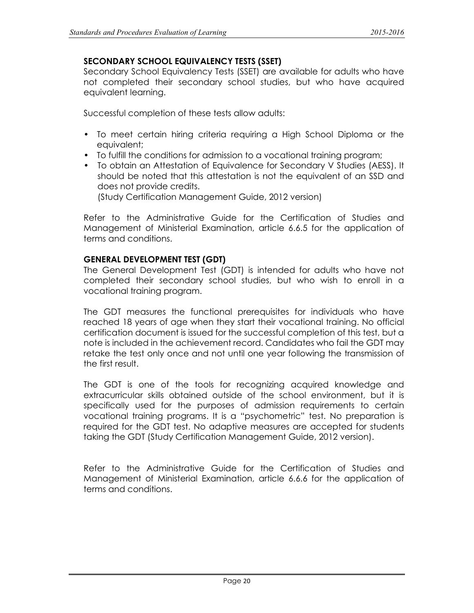# **SECONDARY SCHOOL EQUIVALENCY TESTS (SSET)**

Secondary School Equivalency Tests (SSET) are available for adults who have not completed their secondary school studies, but who have acquired equivalent learning.

Successful completion of these tests allow adults:

- To meet certain hiring criteria requiring a High School Diploma or the equivalent;
- To fulfill the conditions for admission to a vocational training program;
- To obtain an Attestation of Equivalence for Secondary V Studies (AESS). It should be noted that this attestation is not the equivalent of an SSD and does not provide credits.

(Study Certification Management Guide, 2012 version)

Refer to the [Administrative Guide for the Certification of Studies and](http://www.education.gouv.qc.ca/fileadmin/site_web/documents/dpse/sanction/Guide-sanction-2015_ang.pdf)  [Management of Ministerial Examination,](http://www.education.gouv.qc.ca/fileadmin/site_web/documents/dpse/sanction/Guide-sanction-2015_ang.pdf) article 6.6.5 for the application of terms and conditions.

# **GENERAL DEVELOPMENT TEST (GDT)**

The General Development Test (GDT) is intended for adults who have not completed their secondary school studies, but who wish to enroll in a vocational training program.

The GDT measures the functional prerequisites for individuals who have reached 18 years of age when they start their vocational training. No official certification document is issued for the successful completion of this test, but a note is included in the achievement record. Candidates who fail the GDT may retake the test only once and not until one year following the transmission of the first result.

The GDT is one of the tools for recognizing acquired knowledge and extracurricular skills obtained outside of the school environment, but it is specifically used for the purposes of admission requirements to certain vocational training programs. It is a "psychometric" test. No preparation is required for the GDT test. No adaptive measures are accepted for students taking the GDT (Study Certification Management Guide, 2012 version).

Refer to the [Administrative Guide for the Certification of Studies and](http://www.education.gouv.qc.ca/fileadmin/site_web/documents/dpse/sanction/Guide-sanction-2015_ang.pdf)  [Management of Ministerial Examination,](http://www.education.gouv.qc.ca/fileadmin/site_web/documents/dpse/sanction/Guide-sanction-2015_ang.pdf) article 6.6.6 for the application of terms and conditions.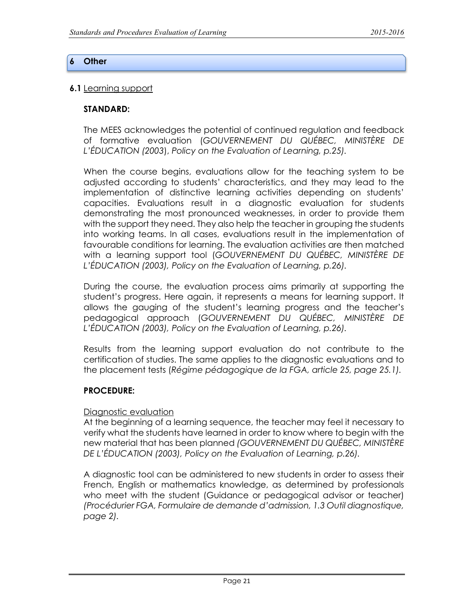# **6 Other**

# **6.1** Learning support

# **STANDARD:**

The MEES acknowledges the potential of continued regulation and feedback of formative evaluation (*GOUVERNEMENT DU QUÉBEC, MINISTÈRE DE L'ÉDUCATION (2003*), *Policy on the Evaluation of Learning, p.25).*

When the course begins, evaluations allow for the teaching system to be adjusted according to students' characteristics, and they may lead to the implementation of distinctive learning activities depending on students' capacities. Evaluations result in a diagnostic evaluation for students demonstrating the most pronounced weaknesses, in order to provide them with the support they need. They also help the teacher in grouping the students into working teams. In all cases, evaluations result in the implementation of favourable conditions for learning. The evaluation activities are then matched with a learning support tool (*GOUVERNEMENT DU QUÉBEC, MINISTÈRE DE L'ÉDUCATION (2003), Policy on the Evaluation of Learning, p.26).*

During the course, the evaluation process aims primarily at supporting the student's progress. Here again, it represents a means for learning support. It allows the gauging of the student's learning progress and the teacher's pedagogical approach (*GOUVERNEMENT DU QUÉBEC, MINISTÈRE DE L'ÉDUCATION (2003), Policy on the Evaluation of Learning, p.26).*

Results from the learning support evaluation do not contribute to the certification of studies. The same applies to the diagnostic evaluations and to the placement tests (*Régime pédagogique de la FGA, article 25, page 25.1).* 

#### **PROCEDURE:**

#### Diagnostic evaluation

At the beginning of a learning sequence, the teacher may feel it necessary to verify what the students have learned in order to know where to begin with the new material that has been planned *(GOUVERNEMENT DU QUÉBEC, MINISTÈRE DE L'ÉDUCATION (2003), Policy on the Evaluation of Learning, p.26).*

A diagnostic tool can be administered to new students in order to assess their French, English or mathematics knowledge, as determined by professionals who meet with the student (Guidance or pedagogical advisor or teacher) *(Procédurier FGA, Formulaire de demande d'admission, 1.3 Outil diagnostique, page 2).*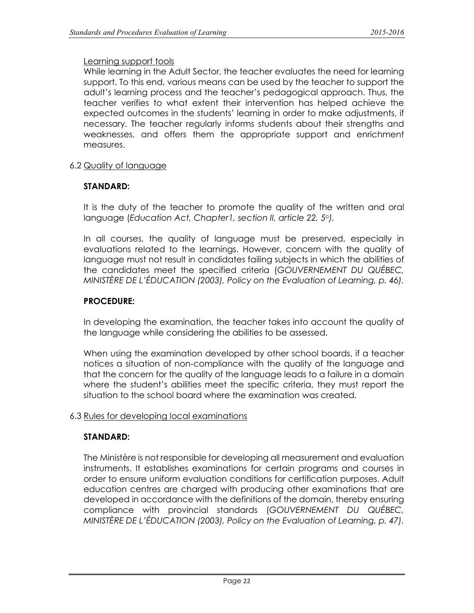# Learning support tools

While learning in the Adult Sector, the teacher evaluates the need for learning support. To this end, various means can be used by the teacher to support the adult's learning process and the teacher's pedagogical approach. Thus, the teacher verifies to what extent their intervention has helped achieve the expected outcomes in the students' learning in order to make adjustments, if necessary. The teacher regularly informs students about their strengths and weaknesses, and offers them the appropriate support and enrichment measures.

# 6.2 Quality of language

# **STANDARD:**

It is the duty of the teacher to promote the quality of the written and oral language (*Education Act, Chapter1, section II, article 22, 5o).*

In all courses, the quality of language must be preserved, especially in evaluations related to the learnings. However, concern with the quality of language must not result in candidates failing subjects in which the abilities of the candidates meet the specified criteria (*GOUVERNEMENT DU QUÉBEC, MINISTÈRE DE L'ÉDUCATION (2003), Policy on the Evaluation of Learning, p. 46).* 

# **PROCEDURE:**

In developing the examination, the teacher takes into account the quality of the language while considering the abilities to be assessed.

When using the examination developed by other school boards, if a teacher notices a situation of non-compliance with the quality of the language and that the concern for the quality of the language leads to a failure in a domain where the student's abilities meet the specific criteria, they must report the situation to the school board where the examination was created.

# 6.3 Rules for developing local examinations

# **STANDARD:**

The Ministère is not responsible for developing all measurement and evaluation instruments. It establishes examinations for certain programs and courses in order to ensure uniform evaluation conditions for certification purposes. Adult education centres are charged with producing other examinations that are developed in accordance with the definitions of the domain, thereby ensuring compliance with provincial standards (*GOUVERNEMENT DU QUÉBEC, MINISTÈRE DE L'ÉDUCATION (2003), Policy on the Evaluation of Learning, p. 47).*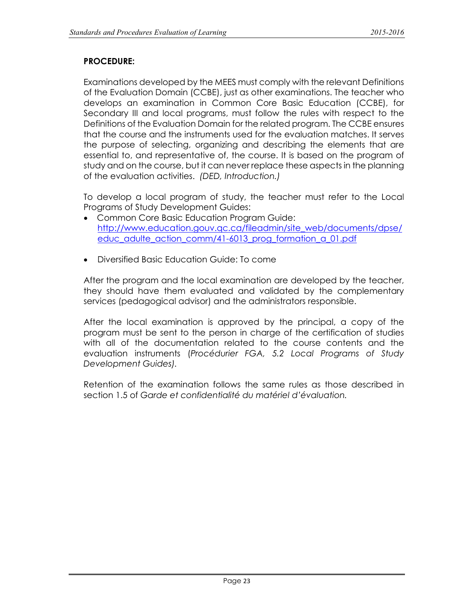Examinations developed by the MEES must comply with the relevant Definitions of the Evaluation Domain (CCBE), just as other examinations. The teacher who develops an examination in Common Core Basic Education (CCBE), for Secondary III and local programs, must follow the rules with respect to the Definitions of the Evaluation Domain for the related program. The CCBE ensures that the course and the instruments used for the evaluation matches. It serves the purpose of selecting, organizing and describing the elements that are essential to, and representative of, the course. It is based on the program of study and on the course, but it can never replace these aspects in the planning of the evaluation activities. *(DED, Introduction.)*

To develop a local program of study, the teacher must refer to the Local Programs of Study Development Guides:

- Common Core Basic Education Program Guide: [http://www.education.gouv.qc.ca/fileadmin/site\\_web/documents/dpse/](http://www.education.gouv.qc.ca/fileadmin/site_web/documents/dpse/educ_adulte_action_comm/41-6013_prog_formation_a_01.pdf) [educ\\_adulte\\_action\\_comm/41-6013\\_prog\\_formation\\_a\\_01.pdf](http://www.education.gouv.qc.ca/fileadmin/site_web/documents/dpse/educ_adulte_action_comm/41-6013_prog_formation_a_01.pdf)
- Diversified Basic Education Guide: To come

After the program and the local examination are developed by the teacher, they should have them evaluated and validated by the complementary services (pedagogical advisor) and the administrators responsible.

After the local examination is approved by the principal, a copy of the program must be sent to the person in charge of the certification of studies with all of the documentation related to the course contents and the evaluation instruments (*Procédurier FGA, 5.2 Local Programs of Study Development Guides).*

Retention of the examination follows the same rules as those described in section 1.5 of *Garde et confidentialité du matériel d'évaluation.*